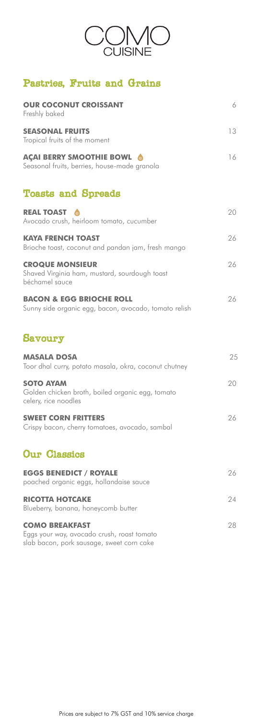

# Pastries, Fruits and Grains

| <b>OUR COCONUT CROISSANT</b><br>Freshly baked                                                | 6  |
|----------------------------------------------------------------------------------------------|----|
| <b>SEASONAL FRUITS</b><br>Tropical fruits of the moment                                      | 13 |
| <b>AÇAI BERRY SMOOTHIE BOWL &amp;</b><br>Seasonal fruits, berries, house-made granola        | 16 |
| <b>Toasts and Spreads</b>                                                                    |    |
| <b>REAL TOAST</b><br>Avocado crush, heirloom tomato, cucumber                                | 20 |
| <b>KAYA FRENCH TOAST</b><br>Brioche toast, coconut and pandan jam, fresh mango               | 26 |
| <b>CROQUE MONSIEUR</b><br>Shaved Virginia ham, mustard, sourdough toast<br>béchamel sauce    | 26 |
| <b>BACON &amp; EGG BRIOCHE ROLL</b><br>Sunny side organic egg, bacon, avocado, tomato relish | 26 |
| <b>Savoury</b>                                                                               |    |
| <b>MASALA DOSA</b><br>Toor dhal curry, potato masala, okra, coconut chutney                  | 25 |
| <b>SOTO AYAM</b><br>Golden chicken broth, boiled organic egg, tomato<br>celery, rice noodles | 20 |
| <b>SWEET CORN FRITTERS</b><br>Crispy bacon, cherry tomatoes, avocado, sambal                 | 26 |
| <b>Our Classics</b>                                                                          |    |
| <b>EGGS BENEDICT / ROYALE</b><br>poached organic eggs, hollandaise sauce                     | 26 |
| <b>RICOTTA HOTCAKE</b><br>Blueberry, banana, honeycomb butter                                | 24 |
| <b>COMO BREAKFAST</b><br>Eggs your way, avocado crush, roast tomato                          | 28 |

slab bacon, pork sausage, sweet corn cake

Prices are subject to 7% GST and 10% service charge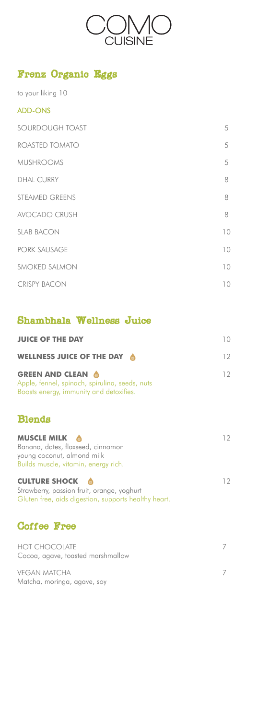

# Frenz Organic Eggs

to your liking 10

#### ADD-ONS

| SOURDOUGH TOAST       | 5  |
|-----------------------|----|
| ROASTED TOMATO        | 5  |
| <b>MUSHROOMS</b>      | 5  |
| <b>DHAL CURRY</b>     | 8  |
| <b>STEAMED GREENS</b> | 8  |
| <b>AVOCADO CRUSH</b>  | 8  |
| <b>SLAB BACON</b>     | 10 |
| <b>PORK SAUSAGE</b>   | 10 |
| SMOKED SALMON         | 10 |
| <b>CRISPY BACON</b>   | 10 |

### Shambhala Wellness Juice

| <b>JUICE OF THE DAY</b>                                                                                                   | $10^{-}$ |
|---------------------------------------------------------------------------------------------------------------------------|----------|
| WELLNESS JUICE OF THE DAY                                                                                                 | 12       |
| <b>GREEN AND CLEAN &amp;</b><br>Apple, fennel, spinach, spirulina, seeds, nuts<br>Boosts energy, immunity and detoxifies. | 12.      |

HOT CHOCOLATE 7 Cocoa, agave, toasted marshmallow

VEGAN MATCHA 7 Matcha, moringa, agave, soy

### Blends

| <b>MUSCLE MILK &amp;</b><br>Banana, dates, flaxseed, cinnamon<br>young coconut, almond milk<br>Builds muscle, vitamin, energy rich. | 12 |
|-------------------------------------------------------------------------------------------------------------------------------------|----|
| <b>CULTURE SHOCK &amp;</b><br>Strawberry, passion fruit, orange, yoghurt                                                            | 12 |

Gluten free, aids digestion, supports healthy heart.

# Coffee Free